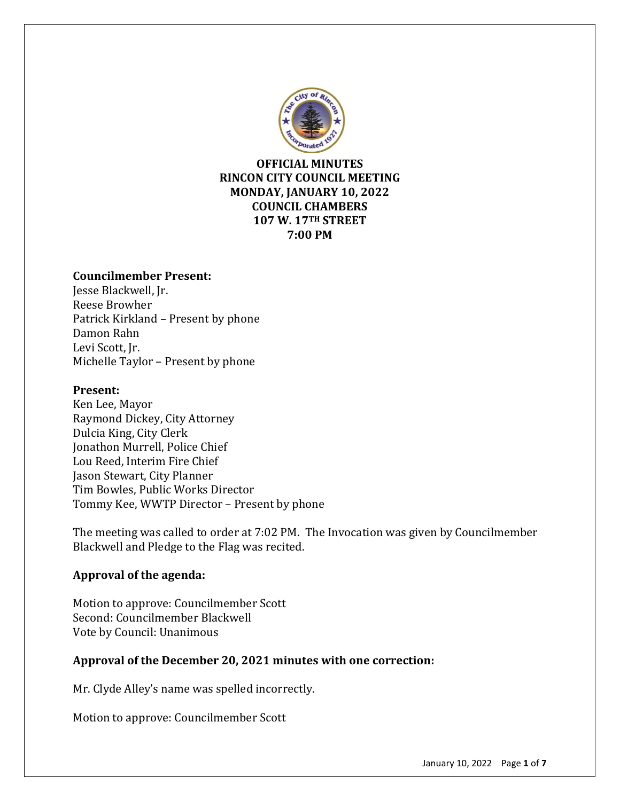

**OFFICIAL MINUTES RINCON CITY COUNCIL MEETING MONDAY, JANUARY 10, 2022 COUNCIL CHAMBERS 107 W. 17TH STREET 7:00 PM**

### **Councilmember Present:**

Jesse Blackwell, Jr. Reese Browher Patrick Kirkland – Present by phone Damon Rahn Levi Scott, Jr. Michelle Taylor – Present by phone

#### **Present:**

Ken Lee, Mayor Raymond Dickey, City Attorney Dulcia King, City Clerk Jonathon Murrell, Police Chief Lou Reed, Interim Fire Chief Jason Stewart, City Planner Tim Bowles, Public Works Director Tommy Kee, WWTP Director – Present by phone

The meeting was called to order at 7:02 PM. The Invocation was given by Councilmember Blackwell and Pledge to the Flag was recited.

### **Approval of the agenda:**

Motion to approve: Councilmember Scott Second: Councilmember Blackwell Vote by Council: Unanimous

### **Approval of the December 20, 2021 minutes with one correction:**

Mr. Clyde Alley's name was spelled incorrectly.

Motion to approve: Councilmember Scott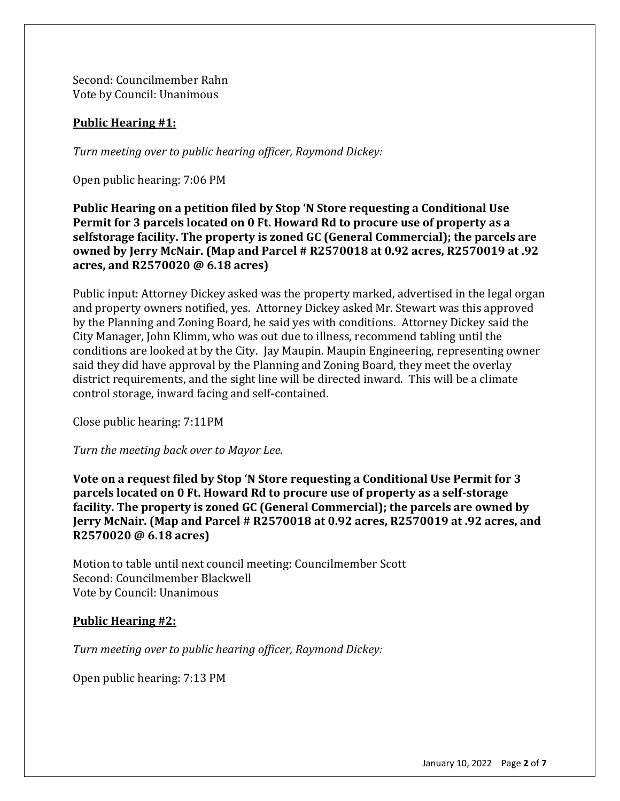Second: Councilmember Rahn Vote by Council: Unanimous

## **Public Hearing #1:**

*Turn meeting over to public hearing officer, Raymond Dickey:*

Open public hearing: 7:06 PM

**Public Hearing on a petition filed by Stop 'N Store requesting a Conditional Use Permit for 3 parcels located on 0 Ft. Howard Rd to procure use of property as a selfstorage facility. The property is zoned GC (General Commercial); the parcels are owned by Jerry McNair. (Map and Parcel # R2570018 at 0.92 acres, R2570019 at .92 acres, and R2570020 @ 6.18 acres)**

Public input: Attorney Dickey asked was the property marked, advertised in the legal organ and property owners notified, yes. Attorney Dickey asked Mr. Stewart was this approved by the Planning and Zoning Board, he said yes with conditions. Attorney Dickey said the City Manager, John Klimm, who was out due to illness, recommend tabling until the conditions are looked at by the City. Jay Maupin. Maupin Engineering, representing owner said they did have approval by the Planning and Zoning Board, they meet the overlay district requirements, and the sight line will be directed inward. This will be a climate control storage, inward facing and self-contained.

Close public hearing: 7:11PM

*Turn the meeting back over to Mayor Lee.*

**Vote on a request filed by Stop 'N Store requesting a Conditional Use Permit for 3 parcels located on 0 Ft. Howard Rd to procure use of property as a self-storage facility. The property is zoned GC (General Commercial); the parcels are owned by Jerry McNair. (Map and Parcel # R2570018 at 0.92 acres, R2570019 at .92 acres, and R2570020 @ 6.18 acres)**

Motion to table until next council meeting: Councilmember Scott Second: Councilmember Blackwell Vote by Council: Unanimous

### **Public Hearing #2:**

*Turn meeting over to public hearing officer, Raymond Dickey:*

Open public hearing: 7:13 PM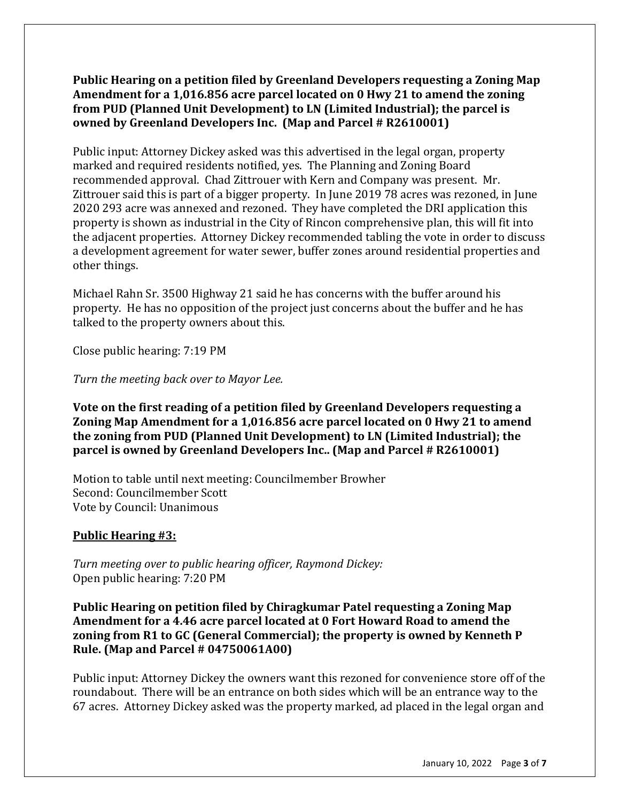**Public Hearing on a petition filed by Greenland Developers requesting a Zoning Map Amendment for a 1,016.856 acre parcel located on 0 Hwy 21 to amend the zoning from PUD (Planned Unit Development) to LN (Limited Industrial); the parcel is owned by Greenland Developers Inc. (Map and Parcel # R2610001)**

Public input: Attorney Dickey asked was this advertised in the legal organ, property marked and required residents notified, yes. The Planning and Zoning Board recommended approval. Chad Zittrouer with Kern and Company was present. Mr. Zittrouer said this is part of a bigger property. In June 2019 78 acres was rezoned, in June 2020 293 acre was annexed and rezoned. They have completed the DRI application this property is shown as industrial in the City of Rincon comprehensive plan, this will fit into the adjacent properties. Attorney Dickey recommended tabling the vote in order to discuss a development agreement for water sewer, buffer zones around residential properties and other things.

Michael Rahn Sr. 3500 Highway 21 said he has concerns with the buffer around his property. He has no opposition of the project just concerns about the buffer and he has talked to the property owners about this.

Close public hearing: 7:19 PM

*Turn the meeting back over to Mayor Lee.*

**Vote on the first reading of a petition filed by Greenland Developers requesting a Zoning Map Amendment for a 1,016.856 acre parcel located on 0 Hwy 21 to amend the zoning from PUD (Planned Unit Development) to LN (Limited Industrial); the parcel is owned by Greenland Developers Inc.. (Map and Parcel # R2610001)**

Motion to table until next meeting: Councilmember Browher Second: Councilmember Scott Vote by Council: Unanimous

## **Public Hearing #3:**

*Turn meeting over to public hearing officer, Raymond Dickey:* Open public hearing: 7:20 PM

**Public Hearing on petition filed by Chiragkumar Patel requesting a Zoning Map Amendment for a 4.46 acre parcel located at 0 Fort Howard Road to amend the zoning from R1 to GC (General Commercial); the property is owned by Kenneth P Rule. (Map and Parcel # 04750061A00)**

Public input: Attorney Dickey the owners want this rezoned for convenience store off of the roundabout. There will be an entrance on both sides which will be an entrance way to the 67 acres. Attorney Dickey asked was the property marked, ad placed in the legal organ and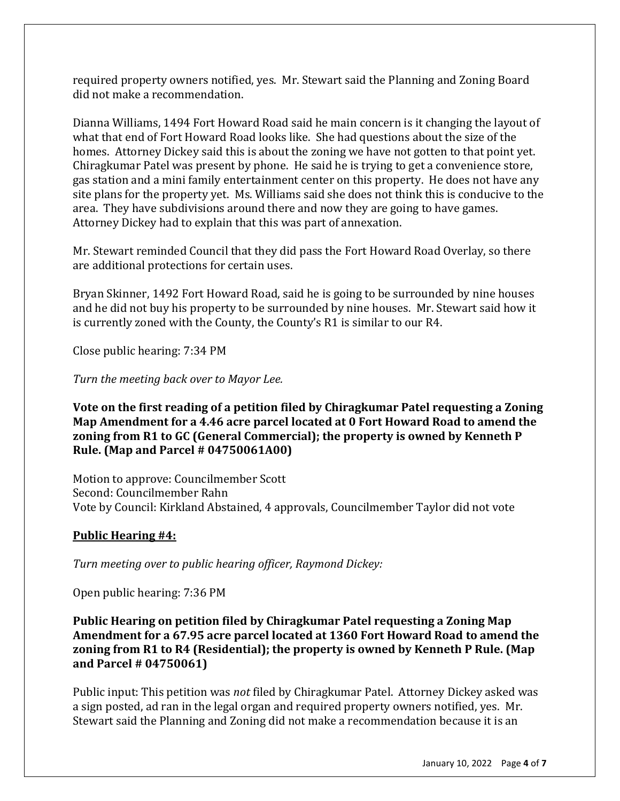required property owners notified, yes. Mr. Stewart said the Planning and Zoning Board did not make a recommendation.

Dianna Williams, 1494 Fort Howard Road said he main concern is it changing the layout of what that end of Fort Howard Road looks like. She had questions about the size of the homes. Attorney Dickey said this is about the zoning we have not gotten to that point yet. Chiragkumar Patel was present by phone. He said he is trying to get a convenience store, gas station and a mini family entertainment center on this property. He does not have any site plans for the property yet. Ms. Williams said she does not think this is conducive to the area. They have subdivisions around there and now they are going to have games. Attorney Dickey had to explain that this was part of annexation.

Mr. Stewart reminded Council that they did pass the Fort Howard Road Overlay, so there are additional protections for certain uses.

Bryan Skinner, 1492 Fort Howard Road, said he is going to be surrounded by nine houses and he did not buy his property to be surrounded by nine houses. Mr. Stewart said how it is currently zoned with the County, the County's R1 is similar to our R4.

Close public hearing: 7:34 PM

*Turn the meeting back over to Mayor Lee.*

**Vote on the first reading of a petition filed by Chiragkumar Patel requesting a Zoning Map Amendment for a 4.46 acre parcel located at 0 Fort Howard Road to amend the zoning from R1 to GC (General Commercial); the property is owned by Kenneth P Rule. (Map and Parcel # 04750061A00)**

Motion to approve: Councilmember Scott Second: Councilmember Rahn Vote by Council: Kirkland Abstained, 4 approvals, Councilmember Taylor did not vote

## **Public Hearing #4:**

*Turn meeting over to public hearing officer, Raymond Dickey:*

Open public hearing: 7:36 PM

**Public Hearing on petition filed by Chiragkumar Patel requesting a Zoning Map Amendment for a 67.95 acre parcel located at 1360 Fort Howard Road to amend the zoning from R1 to R4 (Residential); the property is owned by Kenneth P Rule. (Map and Parcel # 04750061)**

Public input: This petition was *not* filed by Chiragkumar Patel. Attorney Dickey asked was a sign posted, ad ran in the legal organ and required property owners notified, yes. Mr. Stewart said the Planning and Zoning did not make a recommendation because it is an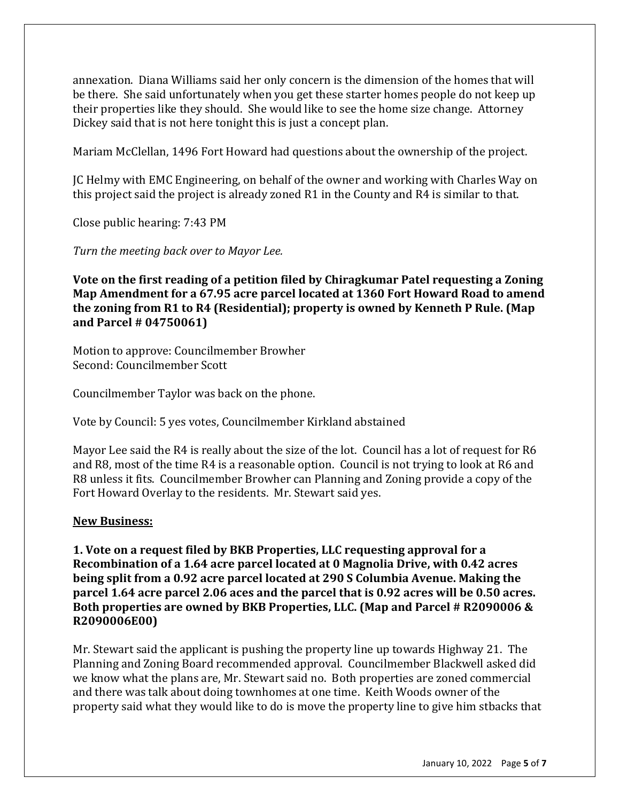annexation. Diana Williams said her only concern is the dimension of the homes that will be there. She said unfortunately when you get these starter homes people do not keep up their properties like they should. She would like to see the home size change. Attorney Dickey said that is not here tonight this is just a concept plan.

Mariam McClellan, 1496 Fort Howard had questions about the ownership of the project.

JC Helmy with EMC Engineering, on behalf of the owner and working with Charles Way on this project said the project is already zoned R1 in the County and R4 is similar to that.

Close public hearing: 7:43 PM

*Turn the meeting back over to Mayor Lee.*

**Vote on the first reading of a petition filed by Chiragkumar Patel requesting a Zoning Map Amendment for a 67.95 acre parcel located at 1360 Fort Howard Road to amend the zoning from R1 to R4 (Residential); property is owned by Kenneth P Rule. (Map and Parcel # 04750061)**

Motion to approve: Councilmember Browher Second: Councilmember Scott

Councilmember Taylor was back on the phone.

Vote by Council: 5 yes votes, Councilmember Kirkland abstained

Mayor Lee said the R4 is really about the size of the lot. Council has a lot of request for R6 and R8, most of the time R4 is a reasonable option. Council is not trying to look at R6 and R8 unless it fits. Councilmember Browher can Planning and Zoning provide a copy of the Fort Howard Overlay to the residents. Mr. Stewart said yes.

### **New Business:**

**1. Vote on a request filed by BKB Properties, LLC requesting approval for a Recombination of a 1.64 acre parcel located at 0 Magnolia Drive, with 0.42 acres being split from a 0.92 acre parcel located at 290 S Columbia Avenue. Making the parcel 1.64 acre parcel 2.06 aces and the parcel that is 0.92 acres will be 0.50 acres. Both properties are owned by BKB Properties, LLC. (Map and Parcel # R2090006 & R2090006E00)**

Mr. Stewart said the applicant is pushing the property line up towards Highway 21. The Planning and Zoning Board recommended approval. Councilmember Blackwell asked did we know what the plans are, Mr. Stewart said no. Both properties are zoned commercial and there was talk about doing townhomes at one time. Keith Woods owner of the property said what they would like to do is move the property line to give him stbacks that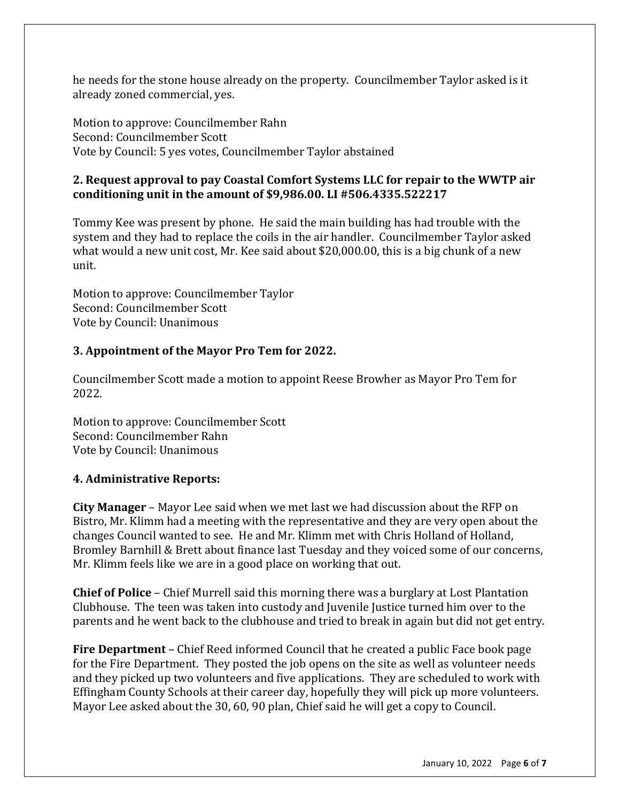he needs for the stone house already on the property. Councilmember Taylor asked is it already zoned commercial, yes.

Motion to approve: Councilmember Rahn Second: Councilmember Scott Vote by Council: 5 yes votes, Councilmember Taylor abstained

## **2. Request approval to pay Coastal Comfort Systems LLC for repair to the WWTP air conditioning unit in the amount of \$9,986.00. LI #506.4335.522217**

Tommy Kee was present by phone. He said the main building has had trouble with the system and they had to replace the coils in the air handler. Councilmember Taylor asked what would a new unit cost, Mr. Kee said about \$20,000.00, this is a big chunk of a new unit.

Motion to approve: Councilmember Taylor Second: Councilmember Scott Vote by Council: Unanimous

# **3. Appointment of the Mayor Pro Tem for 2022.**

Councilmember Scott made a motion to appoint Reese Browher as Mayor Pro Tem for 2022.

Motion to approve: Councilmember Scott Second: Councilmember Rahn Vote by Council: Unanimous

## **4. Administrative Reports:**

**City Manager** – Mayor Lee said when we met last we had discussion about the RFP on Bistro, Mr. Klimm had a meeting with the representative and they are very open about the changes Council wanted to see. He and Mr. Klimm met with Chris Holland of Holland, Bromley Barnhill & Brett about finance last Tuesday and they voiced some of our concerns, Mr. Klimm feels like we are in a good place on working that out.

**Chief of Police** – Chief Murrell said this morning there was a burglary at Lost Plantation Clubhouse. The teen was taken into custody and Juvenile Justice turned him over to the parents and he went back to the clubhouse and tried to break in again but did not get entry.

**Fire Department** – Chief Reed informed Council that he created a public Face book page for the Fire Department. They posted the job opens on the site as well as volunteer needs and they picked up two volunteers and five applications. They are scheduled to work with Effingham County Schools at their career day, hopefully they will pick up more volunteers. Mayor Lee asked about the 30, 60, 90 plan, Chief said he will get a copy to Council.